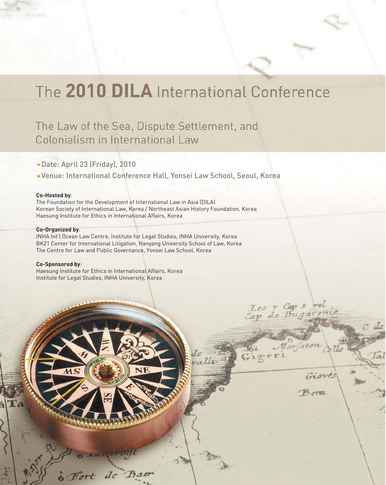# The 2010 DILA International Conference

Les y Cap s rei

 $G$ io-ex

Marjaton

Giove

Berez

## The Law of the Sea, Dispute Settlement, and Colonialism in International Law

- Date: April 23 (Friday), 2010
- Venue: International Conference Hall, Yonsei Law School, Seoul, Korea

#### **Co-Hosted by**:

The Foundation for the Development of International Law in Asia (DILA) Korean Society of International Law, Korea / Northeast Asian History Foundation, Korea Haesung Institute for Ethics in International Affairs, Korea

#### **Co-Organized by**:

INHA Int'l Ocean Law Centre, Institute for Legal Studies, INHA University, Korea BK21 Center for International Litigation, Hanyang University School of Law, Korea The Centre for Law and Public Governance, Yonsei Law School, Korea

#### **Co-Sponsored by**:

Haesung Institute for Ethics in International Affairs, Korea Institute for Legal Studies, INHA University, Korea

 $d\epsilon$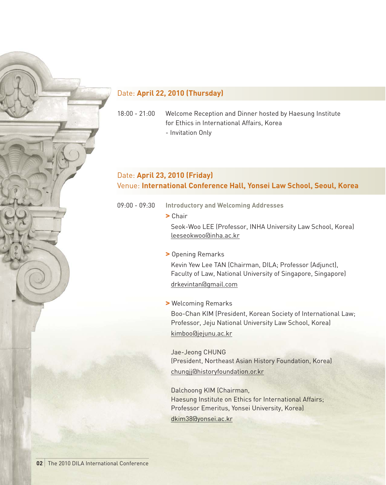#### Date: **April 22, 2010 (Thursday)**

18:00 - 21:00 Welcome Reception and Dinner hosted by Haesung Institute for Ethics in International Affairs, Korea - Invitation Only

#### Date: **April 23, 2010 (Friday)**  Venue: **International Conference Hall, Yonsei Law School, Seoul, Korea**

09:00 - 09:30 **Introductory and Welcoming Addresses**

> Chair

Seok-Woo LEE (Professor, INHA University Law School, Korea) leeseokwoo@inha.ac.kr

#### > Opening Remarks

Kevin Yew Lee TAN (Chairman, DILA; Professor (Adjunct), Faculty of Law, National University of Singapore, Singapore) drkevintan@gmail.com

> Welcoming Remarks

Boo-Chan KIM (President, Korean Society of International Law; Professor, Jeju National University Law School, Korea) kimboo@jejunu.ac.kr

Jae-Jeong CHUNG (President, Northeast Asian History Foundation, Korea) chungjj@historyfoundation.or.kr

Dalchoong KIM (Chairman, Haesung Institute on Ethics for International Affairs; Professor Emeritus, Yonsei University, Korea) dkim38@yonsei.ac.kr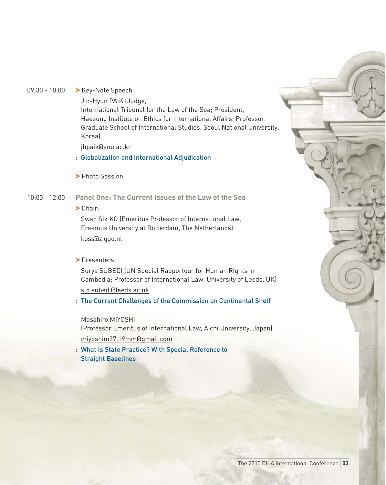09:30 - 10:00 > Key-Note Speech

Jin-Hyun PAIK (Judge,

International Tribunal for the Law of the Sea; President, Haesung Institute on Ethics for International Affairs; Professor, Graduate School of International Studies, Seoul National University, Korea)

jhpaik@snu.ac.kr

: Globalization and International Adjudication

> Photo Session

#### 10:00 - 12:00 **Panel One: The Current Issues of the Law of the Sea**

> Chair:

Swan Sik KO (Emeritus Professor of International Law, Erasmus University at Rotterdam, The Netherlands) koss@ziggo.nl

> Presenters:

Surya SUBEDI (UN Special Rapporteur for Human Rights in Cambodia; Professor of International Law, University of Leeds, UK) s.p.subedi@leeds.ac.uk

: The Current Challenges of the Commission on Continental Shelf

Masahiro MIYOSHI

(Professor Emeritus of International Law, Aichi University, Japan) miyoshim37.19mm@gmail.com

: What Is State Practice? With Special Reference to Straight Baselines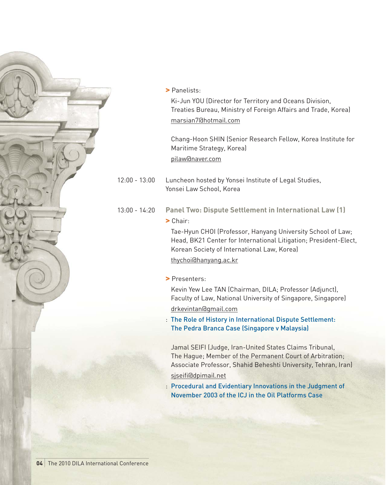

> Panelists:

Ki-Jun YOU (Director for Territory and Oceans Division, Treaties Bureau, Ministry of Foreign Affairs and Trade, Korea) marsian7@hotmail.com

Chang-Hoon SHIN (Senior Research Fellow, Korea Institute for Maritime Strategy, Korea) pilaw@naver.com

- 12:00 13:00 Luncheon hosted by Yonsei Institute of Legal Studies, Yonsei Law School, Korea
- 13:00 14:20 **Panel Two: Dispute Settlement in International Law (1)**

#### > Chair:

Tae-Hyun CHOI (Professor, Hanyang University School of Law; Head, BK21 Center for International Litigation; President-Elect, Korean Society of International Law, Korea)

thychoi@hanyang.ac.kr

> Presenters:

Kevin Yew Lee TAN (Chairman, DILA; Professor (Adjunct), Faculty of Law, National University of Singapore, Singapore)

#### drkevintan@gmail.com

: The Role of History in International Dispute Settlement: The Pedra Branca Case (Singapore v Malaysia)

Jamal SEIFI (Judge, Iran-United States Claims Tribunal, The Hague; Member of the Permanent Court of Arbitration; Associate Professor, Shahid Beheshti University, Tehran, Iran) sjseifi@dpimail.net

: Procedural and Evidentiary Innovations in the Judgment of November 2003 of the ICJ in the Oil Platforms Case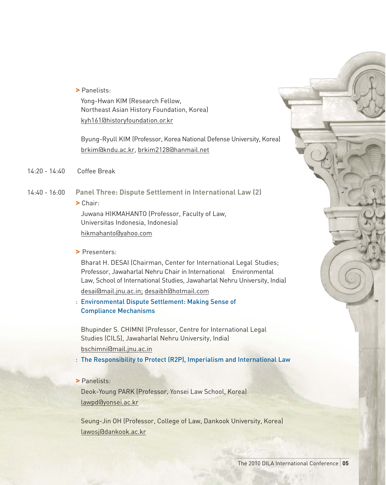> Panelists:

Yong-Hwan KIM (Research Fellow, Northeast Asian History Foundation, Korea) kyh161@historyfoundation.or.kr

Byung-Ryull KIM (Professor, Korea National Defense University, Korea) brkim@kndu.ac.kr, brkim2128@hanmail.net

- 14:20 14:40 Coffee Break
- 14:40 16:00 **Panel Three: Dispute Settlement in International Law (2)**
	- > Chair:

Juwana HIKMAHANTO (Professor, Faculty of Law, Universitas Indonesia, Indonesia) hikmahanto@yahoo.com

> Presenters:

Bharat H. DESAI (Chairman, Center for International Legal Studies; Professor, Jawaharlal Nehru Chair in International Environmental Law, School of International Studies, Jawaharlal Nehru University, India) desai@mail.jnu.ac.in; desaibh@hotmail.com

: Environmental Dispute Settlement: Making Sense of Compliance Mechanisms

Bhupinder S. CHIMNI (Professor, Centre for International Legal Studies (CILS), Jawaharlal Nehru University, India) bschimni@mail.jnu.ac.in

- : The Responsibility to Protect (R2P), Imperialism and International Law
- > Panelists:

Deok-Young PARK (Professor, Yonsei Law School, Korea) lawpd@yonsei.ac.kr

Seung-Jin OH (Professor, College of Law, Dankook University, Korea) lawosj@dankook.ac.kr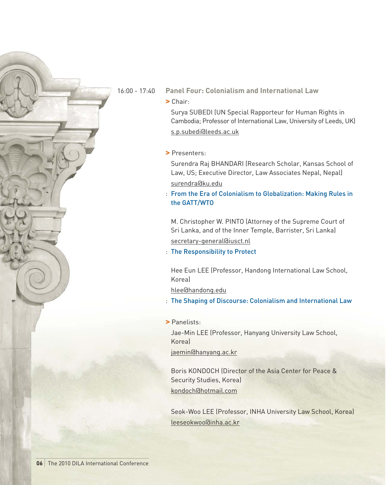16:00 - 17:40 **Panel Four: Colonialism and International Law**

> Chair:

Surya SUBEDI (UN Special Rapporteur for Human Rights in Cambodia; Professor of International Law, University of Leeds, UK) s.p.subedi@leeds.ac.uk

> Presenters:

Surendra Raj BHANDARI (Research Scholar, Kansas School of Law, US; Executive Director, Law Associates Nepal, Nepal) surendra@ku.edu

: From the Era of Colonialism to Globalization: Making Rules in the GATT/WTO

M. Christopher W. PINTO (Attorney of the Supreme Court of Sri Lanka, and of the Inner Temple, Barrister, Sri Lanka) secretary-general@iusct.nl

: The Responsibility to Protect

Hee Eun LEE (Professor, Handong International Law School, Korea)

hlee@handong.edu

- : The Shaping of Discourse: Colonialism and International Law
- > Panelists:

Jae-Min LEE (Professor, Hanyang University Law School, Korea)

jaemin@hanyang.ac.kr

Boris KONDOCH (Director of the Asia Center for Peace & Security Studies, Korea) kondoch@hotmail.com

Seok-Woo LEE (Professor, INHA University Law School, Korea) leeseokwoo@inha.ac.kr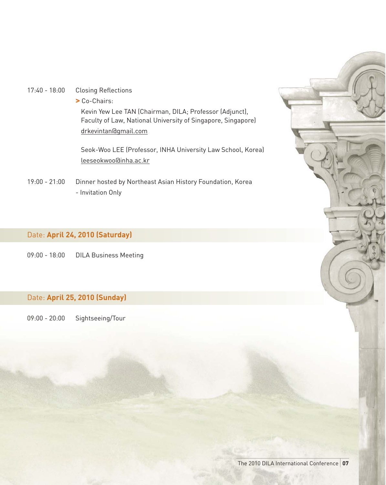- 17:40 18:00 Closing Reflections
	- > Co-Chairs:

Kevin Yew Lee TAN (Chairman, DILA; Professor (Adjunct), Faculty of Law, National University of Singapore, Singapore) drkevintan@gmail.com

Seok-Woo LEE (Professor, INHA University Law School, Korea) leeseokwoo@inha.ac.kr

19:00 - 21:00 Dinner hosted by Northeast Asian History Foundation, Korea - Invitation Only

#### Date: **April 24, 2010 (Saturday)**

09:00 - 18:00 DILA Business Meeting

#### Date: **April 25, 2010 (Sunday)**

09:00 - 20:00 Sightseeing/Tour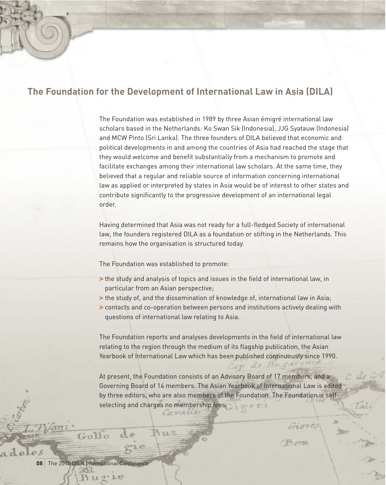### **The Foundation for the Development of International Law in Asia (DILA)**

The Foundation was established in 1989 by three Asian émigré international law scholars based in the Netherlands: Ko Swan Sik (Indonesia), JJG Syatauw (Indonesia) and MCW Pinto (Sri Lanka). The three founders of DILA believed that economic and political developments in and among the countries of Asia had reached the stage that they would welcome and benefit substantially from a mechanism to promote and facilitate exchanges among their international law scholars. At the same time, they believed that a regular and reliable source of information concerning international law as applied or interpreted by states in Asia would be of interest to other states and contribute significantly to the progressive development of an international legal order.

Having determined that Asia was not ready for a full-fledged Society of international law, the founders registered DILA as a foundation or stifting in the Netherlands. This remains how the organisation is structured today.

The Foundation was established to promote:

- > the study and analysis of topics and issues in the field of international law, in particular from an Asian perspective;
- > the study of, and the dissemination of knowledge of, international law in Asia;
- > contacts and co-operation between persons and institutions actively dealing with questions of international law relating to Asia.

The Foundation reports and analyses developments in the field of international law relating to the region through the medium of its flagship publication, the Asian Yearbook of International Law which has been published continuously since 1990.

Cap de

 $[al]$ 

Giove

At present, the Foundation consists of an Advisory Board of 17 members, and a Governing Board of 14 members. The Asian Yearbook of International Law is edited by three editors, who are also members of the Foundation. The Foundation is selfselecting and charges no membership fees.

**08** The 2010 DILA International Conference

1.0

 $A$  deles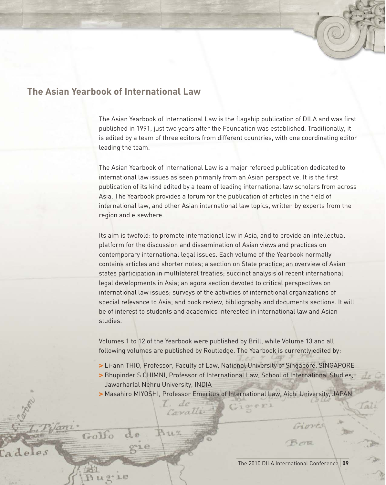### **The Asian Yearbook of International Law**

The Asian Yearbook of International Law is the flagship publication of DILA and was first published in 1991, just two years after the Foundation was established. Traditionally, it is edited by a team of three editors from different countries, with one coordinating editor leading the team.

The Asian Yearbook of International Law is a major refereed publication dedicated to international law issues as seen primarily from an Asian perspective. It is the first publication of its kind edited by a team of leading international law scholars from across Asia. The Yearbook provides a forum for the publication of articles in the field of international law, and other Asian international law topics, written by experts from the region and elsewhere.

Its aim is twofold: to promote international law in Asia, and to provide an intellectual platform for the discussion and dissemination of Asian views and practices on contemporary international legal issues. Each volume of the Yearbook normally contains articles and shorter notes; a section on State practice; an overview of Asian states participation in multilateral treaties; succinct analysis of recent international legal developments in Asia; an agora section devoted to critical perspectives on international law issues; surveys of the activities of international organizations of special relevance to Asia; and book review, bibliography and documents sections. It will be of interest to students and academics interested in international law and Asian studies.

Volumes 1 to 12 of the Yearbook were published by Brill, while Volume 13 and all following volumes are published by Routledge. The Yearbook is currently edited by:

- > Li-ann THIO, Professor, Faculty of Law, National University of Singapore, SINGAPORE
- > Bhupinder S CHIMNI, Professor of International Law, School of International Studies, Jawarharlal Nehru University, INDIA
- > Masahiro MIYOSHI, Professor Emeritus of International Law, Aichi University, JAPAN

de Caralli

S. Orale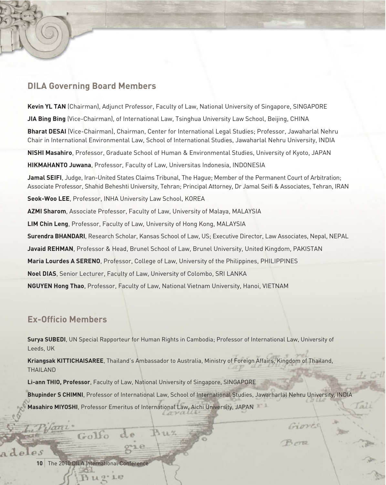#### **DILA Governing Board Members**

**Kevin YL TAN** (Chairman), Adjunct Professor, Faculty of Law, National University of Singapore, SINGAPORE **JIA Bing Bing** (Vice-Chairman), of International Law, Tsinghua University Law School, Beijing, CHINA **Bharat DESAI** (Vice-Chairman), Chairman, Center for International Legal Studies; Professor, Jawaharlal Nehru Chair in International Environmental Law, School of International Studies, Jawaharlal Nehru University, INDIA **NISHI Masahiro**, Professor, Graduate School of Human & Environmental Studies, University of Kyoto, JAPAN **HIKMAHANTO Juwana**, Professor, Faculty of Law, Universitas Indonesia, INDONESIA **Jamal SEIFI**, Judge, Iran-United States Claims Tribunal, The Hague; Member of the Permanent Court of Arbitration; Associate Professor, Shahid Beheshti University, Tehran; Principal Attorney, Dr Jamal Seifi & Associates, Tehran, IRAN **Seok-Woo LEE**, Professor, INHA University Law School, KOREA **AZMI Sharom**, Associate Professor, Faculty of Law, University of Malaya, MALAYSIA **LIM Chin Leng**, Professor, Faculty of Law, University of Hong Kong, MALAYSIA **Surendra BHANDARI**, Research Scholar, Kansas School of Law, US; Executive Director, Law Associates, Nepal, NEPAL **Javaid REHMAN**, Professor & Head, Brunel School of Law, Brunel University, United Kingdom, PAKISTAN **Maria Lourdes A SERENO**, Professor, College of Law, University of the Philippines, PHILIPPINES **Noel DIAS**, Senior Lecturer, Faculty of Law, University of Colombo, SRI LANKA **NGUYEN Hong Thao**, Professor, Faculty of Law, National Vietnam University, Hanoi, VIETNAM

#### **Ex-Officio Members**

**Surya SUBEDI**, UN Special Rapporteur for Human Rights in Cambodia; Professor of International Law, University of Leeds, UK

**Kriangsak KITTICHAISAREE**, Thailand's Ambassador to Australia, Ministry of Foreign Affairs, Kingdom of Thailand, THAILAND

**Li-ann THIO, Professor**, Faculty of Law, National University of Singapore, SINGAPORE

**Bhupinder S CHIMNI**, Professor of International Law, School of International Studies, Jawarharlal Nehru University, INDIA **Masahiro MIYOSHI**, Professor Emeritus of International Law, Aichi University, JAPAN

al

Gioves

**10** The 2010 DILA International Conference

1.0

 $P.S$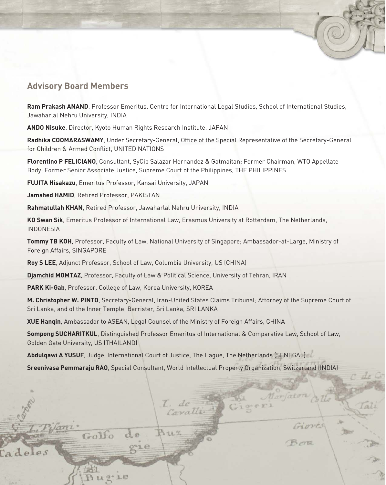#### **Advisory Board Members**

**Ram Prakash ANAND**, Professor Emeritus, Centre for International Legal Studies, School of International Studies, Jawaharlal Nehru University, INDIA

**ANDO Nisuke**, Director, Kyoto Human Rights Research Institute, JAPAN

**Radhika COOMARASWAMY**, Under Secretary-General, Office of the Special Representative of the Secretary-General for Children & Armed Conflict, UNITED NATIONS

**Florentino P FELICIANO**, Consultant, SyCip Salazar Hernandez & Gatmaitan; Former Chairman, WTO Appellate Body; Former Senior Associate Justice, Supreme Court of the Philippines, THE PHILIPPINES

**FUJITA Hisakazu**, Emeritus Professor, Kansai University, JAPAN

**Jamshed HAMID**, Retired Professor, PAKISTAN

**Rahmatullah KHAN**, Retired Professor, Jawaharlal Nehru University, INDIA

**KO Swan Sik**, Emeritus Professor of International Law, Erasmus University at Rotterdam, The Netherlands, INDONESIA

**Tommy TB KOH**, Professor, Faculty of Law, National University of Singapore; Ambassador-at-Large, Ministry of Foreign Affairs, SINGAPORE

**Roy S LEE**, Adjunct Professor, School of Law, Columbia University, US (CHINA)

**Djamchid MOMTAZ**, Professor, Faculty of Law & Political Science, University of Tehran, IRAN

**PARK Ki-Gab**, Professor, College of Law, Korea University, KOREA

**M. Christopher W. PINTO**, Secretary-General, Iran-United States Claims Tribunal; Attorney of the Supreme Court of Sri Lanka, and of the Inner Temple, Barrister, Sri Lanka, SRI LANKA

**XUE Hanqin**, Ambassador to ASEAN, Legal Counsel of the Ministry of Foreign Affairs, CHINA

**Sompong SUCHARITKUL**, Distinguished Professor Emeritus of International & Comparative Law, School of Law, Golden Gate University, US (THAILAND)

**Abdulqawi A YUSUF**, Judge, International Court of Justice, The Hague, The Netherlands (SENEGAL)

**Sreenivasa Pemmaraju RAO**, Special Consultant, World Intellectual Property Organization, Switzerland (INDIA)

Caralli

Marfat

iove